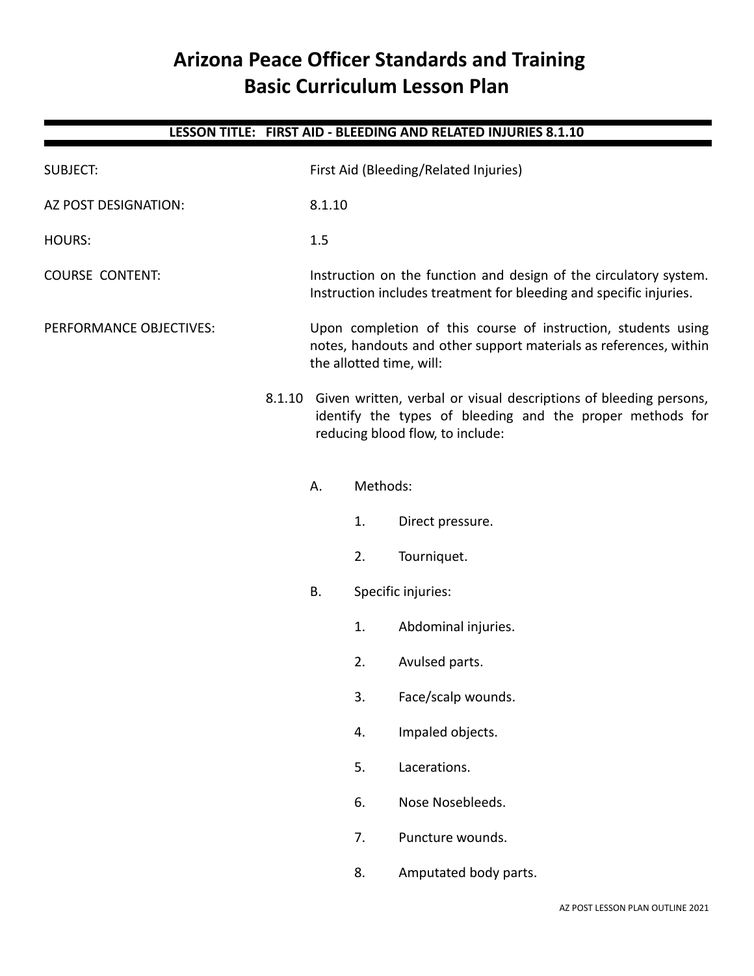# **Arizona Peace Officer Standards and Training Basic Curriculum Lesson Plan**

|                         |        |                                                                                                                                                                    |    | LESSON TITLE: FIRST AID - BLEEDING AND RELATED INJURIES 8.1.10 |  |  |
|-------------------------|--------|--------------------------------------------------------------------------------------------------------------------------------------------------------------------|----|----------------------------------------------------------------|--|--|
| <b>SUBJECT:</b>         |        | First Aid (Bleeding/Related Injuries)                                                                                                                              |    |                                                                |  |  |
| AZ POST DESIGNATION:    |        | 8.1.10                                                                                                                                                             |    |                                                                |  |  |
| <b>HOURS:</b>           |        | 1.5                                                                                                                                                                |    |                                                                |  |  |
| <b>COURSE CONTENT:</b>  |        | Instruction on the function and design of the circulatory system.<br>Instruction includes treatment for bleeding and specific injuries.                            |    |                                                                |  |  |
| PERFORMANCE OBJECTIVES: |        | Upon completion of this course of instruction, students using<br>notes, handouts and other support materials as references, within<br>the allotted time, will:     |    |                                                                |  |  |
|                         | 8.1.10 | Given written, verbal or visual descriptions of bleeding persons,<br>identify the types of bleeding and the proper methods for<br>reducing blood flow, to include: |    |                                                                |  |  |
|                         |        | Methods:<br>А.                                                                                                                                                     |    |                                                                |  |  |
|                         |        |                                                                                                                                                                    | 1. | Direct pressure.                                               |  |  |
|                         |        |                                                                                                                                                                    | 2. | Tourniquet.                                                    |  |  |
|                         |        | Specific injuries:<br>В.                                                                                                                                           |    |                                                                |  |  |
|                         |        |                                                                                                                                                                    | 1. | Abdominal injuries.                                            |  |  |
|                         |        |                                                                                                                                                                    | 2. | Avulsed parts.                                                 |  |  |
|                         |        |                                                                                                                                                                    | 3. | Face/scalp wounds.                                             |  |  |
|                         |        |                                                                                                                                                                    | 4. | Impaled objects.                                               |  |  |
|                         |        |                                                                                                                                                                    | 5. | Lacerations.                                                   |  |  |
|                         |        |                                                                                                                                                                    | 6. | Nose Nosebleeds.                                               |  |  |
|                         |        |                                                                                                                                                                    | 7. | Puncture wounds.                                               |  |  |
|                         |        |                                                                                                                                                                    | 8. | Amputated body parts.                                          |  |  |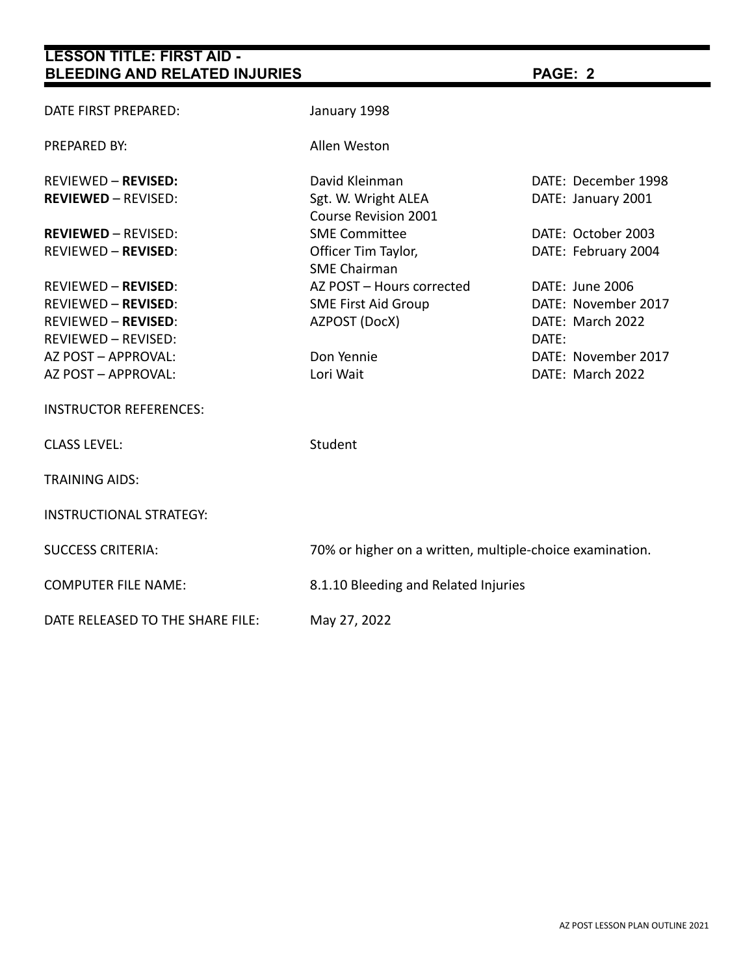| LDINO AND INLLATED INJUNILO      |                                                          |                                      |  |  |
|----------------------------------|----------------------------------------------------------|--------------------------------------|--|--|
| DATE FIRST PREPARED:             | January 1998                                             |                                      |  |  |
| <b>PREPARED BY:</b>              | Allen Weston                                             |                                      |  |  |
| <b>REVIEWED - REVISED:</b>       | David Kleinman                                           | DATE: December 1998                  |  |  |
| <b>REVIEWED - REVISED:</b>       | Sgt. W. Wright ALEA<br>Course Revision 2001              | DATE: January 2001                   |  |  |
| <b>REVIEWED - REVISED:</b>       | <b>SME Committee</b>                                     | DATE: October 2003                   |  |  |
| <b>REVIEWED - REVISED:</b>       | Officer Tim Taylor,<br><b>SME Chairman</b>               | DATE: February 2004                  |  |  |
| <b>REVIEWED - REVISED:</b>       | AZ POST - Hours corrected                                | DATE: June 2006                      |  |  |
| <b>REVIEWED - REVISED:</b>       | <b>SME First Aid Group</b>                               | DATE: November 2017                  |  |  |
| <b>REVIEWED - REVISED:</b>       | AZPOST (DocX)                                            | DATE: March 2022                     |  |  |
| <b>REVIEWED - REVISED:</b>       |                                                          | DATE:                                |  |  |
| AZ POST - APPROVAL:              | Don Yennie                                               | DATE: November 2017                  |  |  |
| AZ POST - APPROVAL:              | Lori Wait                                                | DATE: March 2022                     |  |  |
| <b>INSTRUCTOR REFERENCES:</b>    |                                                          |                                      |  |  |
| <b>CLASS LEVEL:</b>              | Student                                                  |                                      |  |  |
| <b>TRAINING AIDS:</b>            |                                                          |                                      |  |  |
| <b>INSTRUCTIONAL STRATEGY:</b>   |                                                          |                                      |  |  |
| <b>SUCCESS CRITERIA:</b>         | 70% or higher on a written, multiple-choice examination. |                                      |  |  |
| <b>COMPUTER FILE NAME:</b>       |                                                          | 8.1.10 Bleeding and Related Injuries |  |  |
| DATE RELEASED TO THE SHARE FILE: | May 27, 2022                                             |                                      |  |  |

٠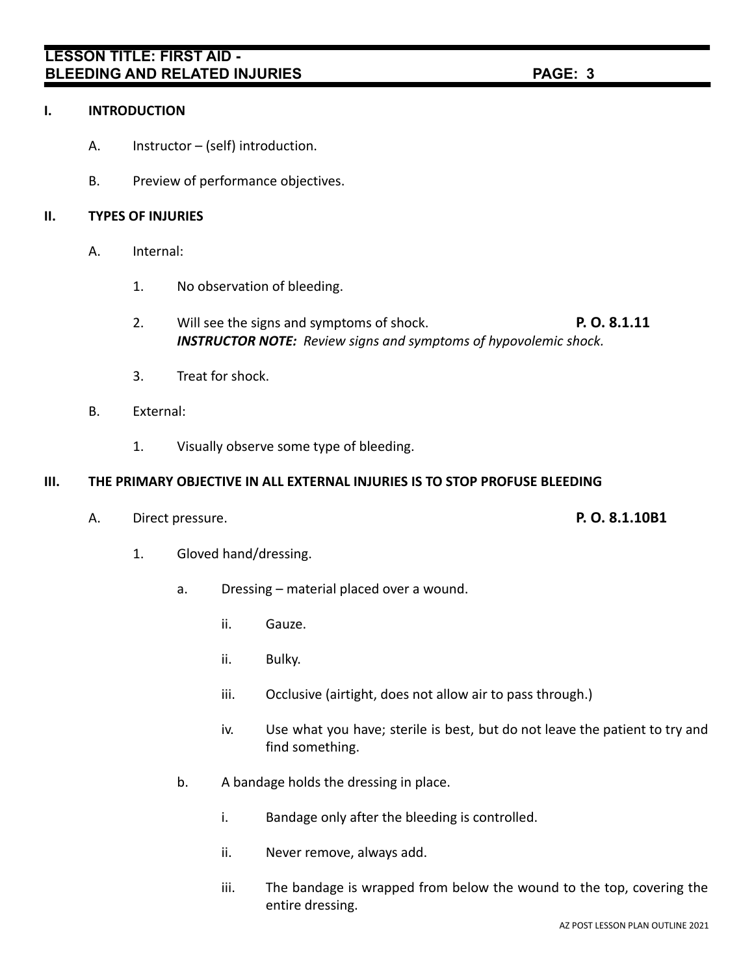### **I. INTRODUCTION**

- A. Instructor (self) introduction.
- B. Preview of performance objectives.

### **II. TYPES OF INJURIES**

- A. Internal:
	- 1. No observation of bleeding.
	- 2. Will see the signs and symptoms of shock. **P. O. 8.1.11** *INSTRUCTOR NOTE: Review signs and symptoms of hypovolemic shock.*
	- 3. Treat for shock.
- B. External:
	- 1. Visually observe some type of bleeding.

### **III. THE PRIMARY OBJECTIVE IN ALL EXTERNAL INJURIES IS TO STOP PROFUSE BLEEDING**

A. Direct pressure. **P. O. 8.1.10B1**

- 1. Gloved hand/dressing.
	- a. Dressing material placed over a wound.
		- ii. Gauze.
		- ii. Bulky.
		- iii. Occlusive (airtight, does not allow air to pass through.)
		- iv. Use what you have; sterile is best, but do not leave the patient to try and find something.
	- b. A bandage holds the dressing in place.
		- i. Bandage only after the bleeding is controlled.
		- ii. Never remove, always add.
		- iii. The bandage is wrapped from below the wound to the top, covering the entire dressing.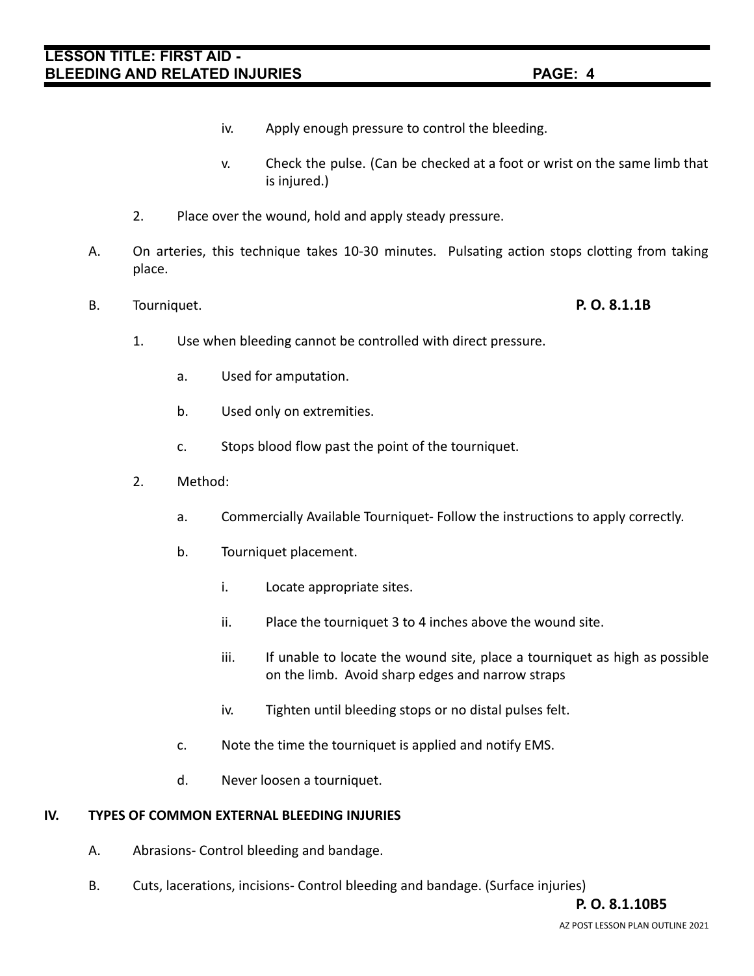- iv. Apply enough pressure to control the bleeding.
- v. Check the pulse. (Can be checked at a foot or wrist on the same limb that is injured.)
- 2. Place over the wound, hold and apply steady pressure.
- A. On arteries, this technique takes 10-30 minutes. Pulsating action stops clotting from taking place.
- B. Tourniquet. **P. O. 8.1.1B**

- 1. Use when bleeding cannot be controlled with direct pressure.
	- a. Used for amputation.
	- b. Used only on extremities.
	- c. Stops blood flow past the point of the tourniquet.
- 2. Method:
	- a. Commercially Available Tourniquet- Follow the instructions to apply correctly.
	- b. Tourniquet placement.
		- i. Locate appropriate sites.
		- ii. Place the tourniquet 3 to 4 inches above the wound site.
		- iii. If unable to locate the wound site, place a tourniquet as high as possible on the limb. Avoid sharp edges and narrow straps
		- iv. Tighten until bleeding stops or no distal pulses felt.
	- c. Note the time the tourniquet is applied and notify EMS.
	- d. Never loosen a tourniquet.

### **IV. TYPES OF COMMON EXTERNAL BLEEDING INJURIES**

- A. Abrasions- Control bleeding and bandage.
- B. Cuts, lacerations, incisions- Control bleeding and bandage. (Surface injuries)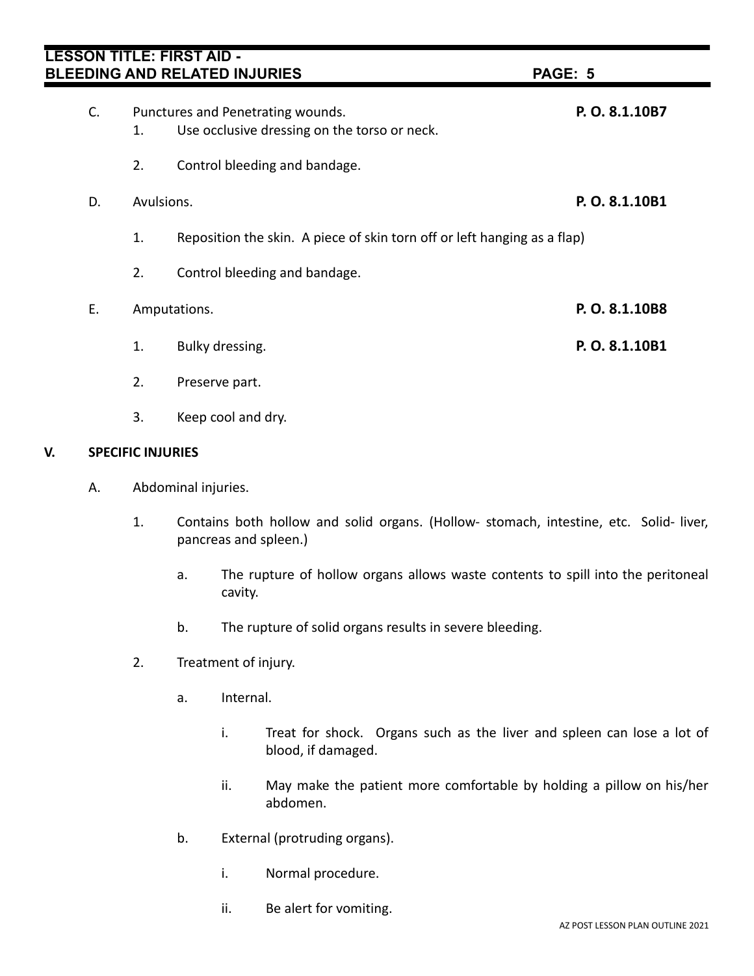| LESSON TITLE: FIRST AID - |            | <b>BLEEDING AND RELATED INJURIES</b>                                              | PAGE: 5        |
|---------------------------|------------|-----------------------------------------------------------------------------------|----------------|
| C.                        | 1.         | Punctures and Penetrating wounds.<br>Use occlusive dressing on the torso or neck. | P. O. 8.1.10B7 |
|                           | 2.         | Control bleeding and bandage.                                                     |                |
| D.                        | Avulsions. |                                                                                   | P.O. 8.1.10B1  |
|                           | 1.         | Reposition the skin. A piece of skin torn off or left hanging as a flap)          |                |
|                           | 2.         | Control bleeding and bandage.                                                     |                |
| E.                        |            | Amputations.                                                                      | P.O. 8.1.10B8  |
|                           | 1.         | Bulky dressing.                                                                   | P.O. 8.1.10B1  |
|                           | 2.         | Preserve part.                                                                    |                |
|                           | 3.         | Keep cool and dry.                                                                |                |

### **V. SPECIFIC INJURIES**

- A. Abdominal injuries.
	- 1. Contains both hollow and solid organs. (Hollow- stomach, intestine, etc. Solid- liver, pancreas and spleen.)
		- a. The rupture of hollow organs allows waste contents to spill into the peritoneal cavity.
		- b. The rupture of solid organs results in severe bleeding.
	- 2. Treatment of injury.
		- a. Internal.
			- i. Treat for shock. Organs such as the liver and spleen can lose a lot of blood, if damaged.
			- ii. May make the patient more comfortable by holding a pillow on his/her abdomen.
		- b. External (protruding organs).
			- i. Normal procedure.
			- ii. Be alert for vomiting.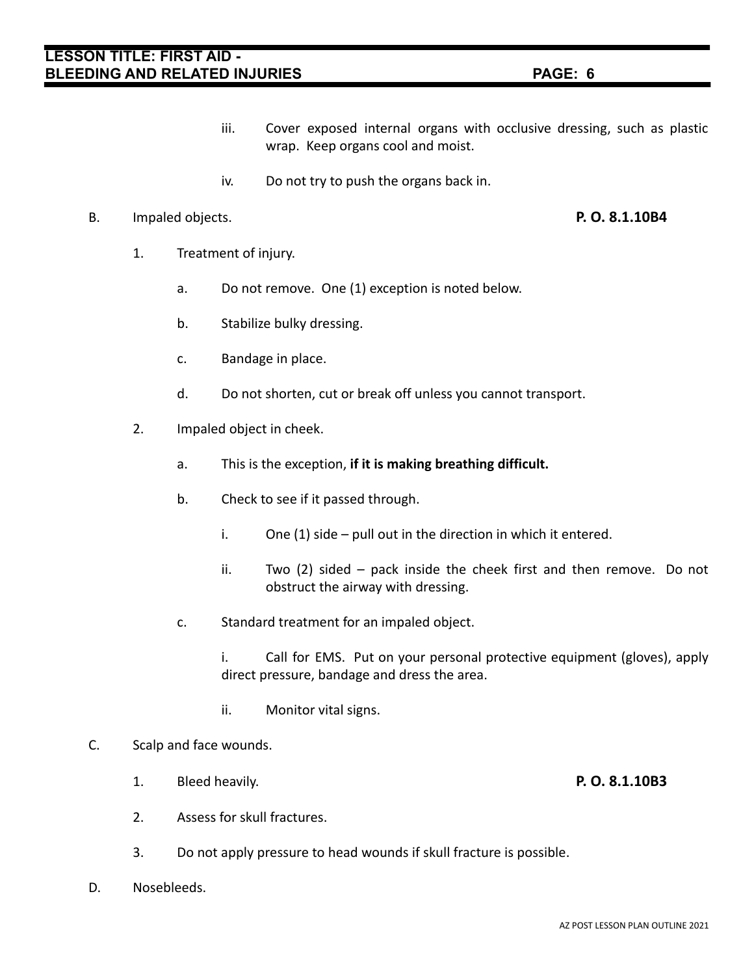- iii. Cover exposed internal organs with occlusive dressing, such as plastic wrap. Keep organs cool and moist.
- iv. Do not try to push the organs back in.

### B. Impaled objects. **P. O. 8.1.10B4**

- 1. Treatment of injury.
	- a. Do not remove. One (1) exception is noted below.
	- b. Stabilize bulky dressing.
	- c. Bandage in place.
	- d. Do not shorten, cut or break off unless you cannot transport.
- 2. Impaled object in cheek.
	- a. This is the exception, **if it is making breathing difficult.**
	- b. Check to see if it passed through.
		- i. One (1) side pull out in the direction in which it entered.
		- ii. Two (2) sided pack inside the cheek first and then remove. Do not obstruct the airway with dressing.
	- c. Standard treatment for an impaled object.
		- i. Call for EMS. Put on your personal protective equipment (gloves), apply direct pressure, bandage and dress the area.
		- ii. Monitor vital signs.

#### C. Scalp and face wounds.

- 1. Bleed heavily. **P. O. 8.1.10B3**
- 2. Assess for skull fractures.
- 3. Do not apply pressure to head wounds if skull fracture is possible.
- D. Nosebleeds.

- 
-